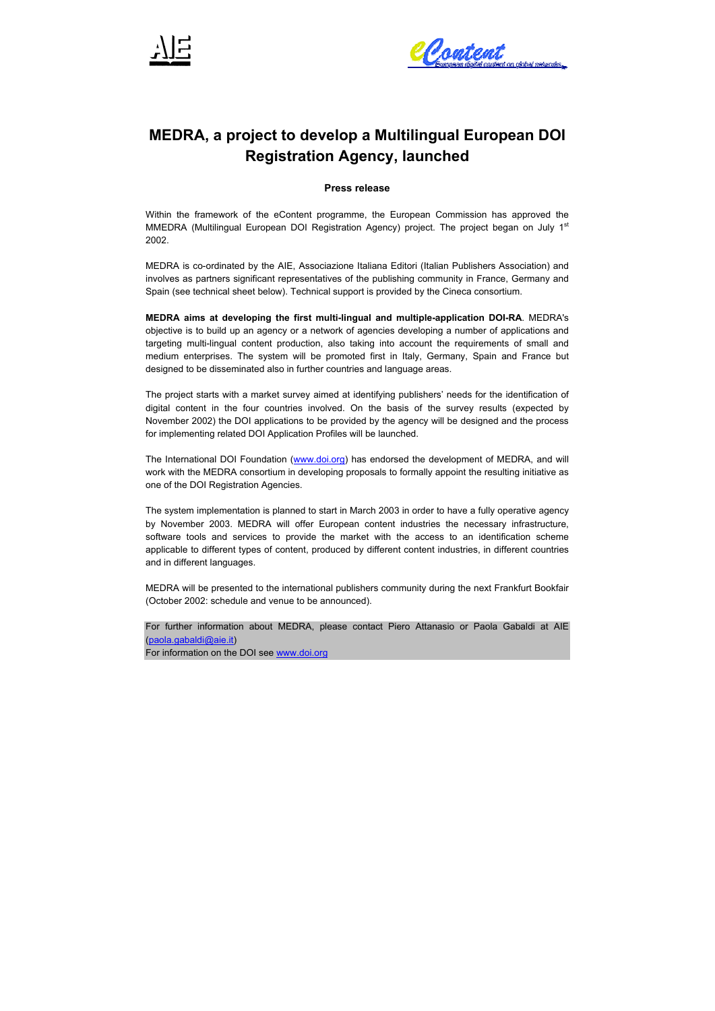



# **MEDRA, a project to develop a Multilingual European DOI Registration Agency, launched**

**Press release** 

Within the framework of the eContent programme, the European Commission has approved the MMEDRA (Multilingual European DOI Registration Agency) project. The project began on July 1<sup>st</sup> 2002.

MEDRA is co-ordinated by the AIE, Associazione Italiana Editori (Italian Publishers Association) and involves as partners significant representatives of the publishing community in France, Germany and Spain (see technical sheet below). Technical support is provided by the Cineca consortium.

**MEDRA aims at developing the first multi-lingual and multiple-application DOI-RA**. MEDRA's objective is to build up an agency or a network of agencies developing a number of applications and targeting multi-lingual content production, also taking into account the requirements of small and medium enterprises. The system will be promoted first in Italy, Germany, Spain and France but designed to be disseminated also in further countries and language areas.

The project starts with a market survey aimed at identifying publishers' needs for the identification of digital content in the four countries involved. On the basis of the survey results (expected by November 2002) the DOI applications to be provided by the agency will be designed and the process for implementing related DOI Application Profiles will be launched.

The International DOI Foundation (www.doi.org) has endorsed the development of MEDRA, and will work with the MEDRA consortium in developing proposals to formally appoint the resulting initiative as one of the DOI Registration Agencies.

The system implementation is planned to start in March 2003 in order to have a fully operative agency by November 2003. MEDRA will offer European content industries the necessary infrastructure, software tools and services to provide the market with the access to an identification scheme applicable to different types of content, produced by different content industries, in different countries and in different languages.

MEDRA will be presented to the international publishers community during the next Frankfurt Bookfair (October 2002: schedule and venue to be announced).

For further information about MEDRA, please contact Piero Attanasio or Paola Gabaldi at AIE (paola.gabaldi@aie.it)

For information on the DOI see www.doi.org